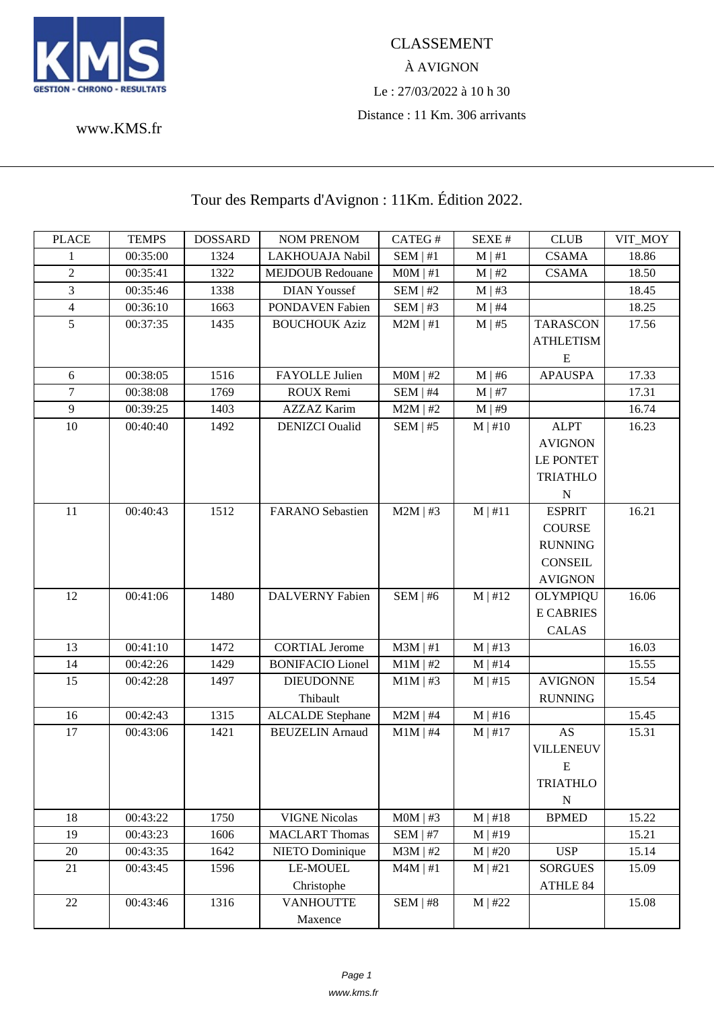

## À AVIGNON Le : 27/03/2022 à 10 h 30 Distance : 11 Km. 306 arrivants

www.KMS.fr

## Tour des Remparts d'Avignon : 11Km. Édition 2022.

| <b>PLACE</b>   | <b>TEMPS</b> | <b>DOSSARD</b> | <b>NOM PRENOM</b>       | CATEG#        | SEXE#        | <b>CLUB</b>      | VIT_MOY |
|----------------|--------------|----------------|-------------------------|---------------|--------------|------------------|---------|
| 1              | 00:35:00     | 1324           | LAKHOUAJA Nabil         | SEM   #1      | $M \mid #1$  | <b>CSAMA</b>     | 18.86   |
| $\mathbf{2}$   | 00:35:41     | 1322           | <b>MEJDOUB Redouane</b> | $MOM$   #1    | $M \mid #2$  | <b>CSAMA</b>     | 18.50   |
| 3              | 00:35:46     | 1338           | <b>DIAN Youssef</b>     | $SEM$   #2    | $M \mid #3$  |                  | 18.45   |
| $\overline{4}$ | 00:36:10     | 1663           | PONDAVEN Fabien         | SEM   #3      | $M \mid #4$  |                  | 18.25   |
| 5              | 00:37:35     | 1435           | <b>BOUCHOUK Aziz</b>    | $M2M$   #1    | $M \mid #5$  | <b>TARASCON</b>  | 17.56   |
|                |              |                |                         |               |              | <b>ATHLETISM</b> |         |
|                |              |                |                         |               |              | E                |         |
| 6              | 00:38:05     | 1516           | FAYOLLE Julien          | $MOM$   #2    | $M \mid #6$  | <b>APAUSPA</b>   | 17.33   |
| $\overline{7}$ | 00:38:08     | 1769           | ROUX Remi               | SEM   #4      | $M \mid #7$  |                  | 17.31   |
| $\overline{9}$ | 00:39:25     | 1403           | <b>AZZAZ Karim</b>      | $M2M$   #2    | $M \mid #9$  |                  | 16.74   |
| $10\,$         | 00:40:40     | 1492           | <b>DENIZCI</b> Oualid   | $SEM$   #5    | $M \mid #10$ | <b>ALPT</b>      | 16.23   |
|                |              |                |                         |               |              | <b>AVIGNON</b>   |         |
|                |              |                |                         |               |              | <b>LE PONTET</b> |         |
|                |              |                |                         |               |              | <b>TRIATHLO</b>  |         |
|                |              |                |                         |               |              | $\mathbf N$      |         |
| 11             | 00:40:43     | 1512           | <b>FARANO</b> Sebastien | $M2M$   #3    | M   #11      | <b>ESPRIT</b>    | 16.21   |
|                |              |                |                         |               |              | <b>COURSE</b>    |         |
|                |              |                |                         |               |              | <b>RUNNING</b>   |         |
|                |              |                |                         |               |              | <b>CONSEIL</b>   |         |
|                |              |                |                         |               |              | <b>AVIGNON</b>   |         |
| 12             | 00:41:06     | 1480           | DALVERNY Fabien         | SEM   #6      | M   #12      | <b>OLYMPIQU</b>  | 16.06   |
|                |              |                |                         |               |              | <b>E CABRIES</b> |         |
|                |              |                |                         |               |              | <b>CALAS</b>     |         |
| 13             | 00:41:10     | 1472           | <b>CORTIAL Jerome</b>   | $M3M$   #1    | $M \mid #13$ |                  | 16.03   |
| 14             | 00:42:26     | 1429           | <b>BONIFACIO Lionel</b> | $M1M$   #2    | $M \mid #14$ |                  | 15.55   |
| 15             | 00:42:28     | 1497           | <b>DIEUDONNE</b>        | $M1M$   #3    | $M \mid #15$ | <b>AVIGNON</b>   | 15.54   |
|                |              |                | Thibault                |               |              | <b>RUNNING</b>   |         |
| 16             | 00:42:43     | 1315           | <b>ALCALDE</b> Stephane | $M2M$   #4    | $M \mid #16$ |                  | 15.45   |
| 17             | 00:43:06     | 1421           | <b>BEUZELIN</b> Arnaud  | $M1M$   #4    | $M$   #17    | AS               | 15.31   |
|                |              |                |                         |               |              | VILLENEUV        |         |
|                |              |                |                         |               |              | E                |         |
|                |              |                |                         |               |              | <b>TRIATHLO</b>  |         |
|                |              |                |                         |               |              | $\mathbf N$      |         |
| 18             | 00:43:22     | 1750           | <b>VIGNE Nicolas</b>    | $MOM$   #3    | $M \mid #18$ | <b>BPMED</b>     | 15.22   |
| 19             | 00:43:23     | 1606           | <b>MACLART Thomas</b>   | $SEM$   #7    | M   #19      |                  | 15.21   |
| 20             | 00:43:35     | 1642           | NIETO Dominique         | $M3M$   #2    | $M$   #20    | <b>USP</b>       | 15.14   |
| 21             | 00:43:45     | 1596           | <b>LE-MOUEL</b>         | $M4M \mid #1$ | M   #21      | <b>SORGUES</b>   | 15.09   |
|                |              |                | Christophe              |               |              | ATHLE 84         |         |
| 22             | 00:43:46     | 1316           | <b>VANHOUTTE</b>        | $SEM$   #8    | $M$   #22    |                  | 15.08   |
|                |              |                | Maxence                 |               |              |                  |         |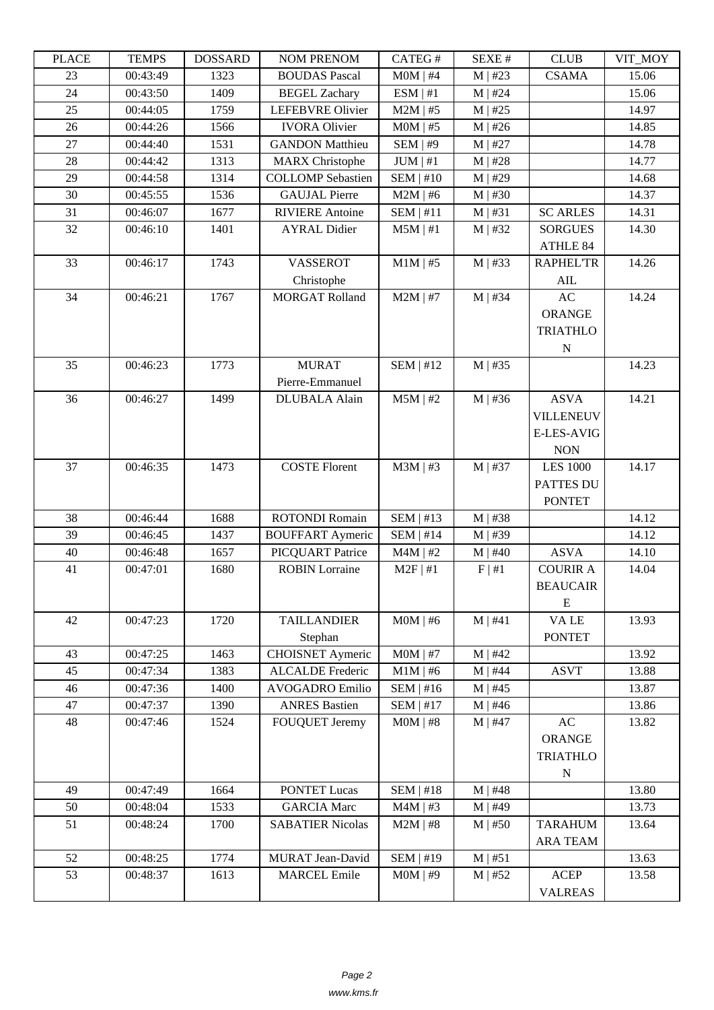| LLAUD | ר נוגודו | <u> שעורומטרים</u> | NUM TNENUM               | <b>CATLO</b> T   | יד בבלגבוט   | CLUD              | VII_MUI |
|-------|----------|--------------------|--------------------------|------------------|--------------|-------------------|---------|
| 23    | 00:43:49 | 1323               | <b>BOUDAS Pascal</b>     | $MOM$   #4       | $M$   #23    | <b>CSAMA</b>      | 15.06   |
| 24    | 00:43:50 | 1409               | <b>BEGEL Zachary</b>     | ESM   #1         | $M$   #24    |                   | 15.06   |
| 25    | 00:44:05 | 1759               | LEFEBVRE Olivier         | $M2M$   #5       | $M$   #25    |                   | 14.97   |
| 26    | 00:44:26 | 1566               | <b>IVORA Olivier</b>     | $MOM$   #5       | $M$   #26    |                   | 14.85   |
| 27    | 00:44:40 | 1531               | <b>GANDON Matthieu</b>   | $SEM$   #9       | $M$   #27    |                   | 14.78   |
| 28    | 00:44:42 | 1313               | <b>MARX</b> Christophe   | $JUM \mid #1$    | $M$   #28    |                   | 14.77   |
| 29    | 00:44:58 | 1314               | <b>COLLOMP</b> Sebastien | $SEM$   #10      | $M$   #29    |                   | 14.68   |
| 30    | 00:45:55 | 1536               | <b>GAUJAL Pierre</b>     | $M2M$   #6       | $M$   #30    |                   | 14.37   |
| 31    | 00:46:07 | 1677               | <b>RIVIERE</b> Antoine   | SEM   #11        | M   #31      | <b>SC ARLES</b>   | 14.31   |
| 32    | 00:46:10 | 1401               | <b>AYRAL Didier</b>      | $M5M$   #1       | $M$   #32    | <b>SORGUES</b>    | 14.30   |
|       |          |                    |                          |                  |              | ATHLE 84          |         |
| 33    | 00:46:17 | 1743               | <b>VASSEROT</b>          | $M1M$   #5       | $M$   #33    | <b>RAPHEL'TR</b>  | 14.26   |
|       |          |                    | Christophe               |                  |              | AIL               |         |
| 34    | 00:46:21 | 1767               | <b>MORGAT Rolland</b>    | $M2M$   #7       | $M$   #34    | AC                | 14.24   |
|       |          |                    |                          |                  |              | <b>ORANGE</b>     |         |
|       |          |                    |                          |                  |              | <b>TRIATHLO</b>   |         |
|       |          |                    |                          |                  |              | N                 |         |
| 35    | 00:46:23 | 1773               | <b>MURAT</b>             | SEM   #12        | $M$   #35    |                   | 14.23   |
|       |          |                    | Pierre-Emmanuel          |                  |              |                   |         |
| 36    | 00:46:27 | 1499               | <b>DLUBALA</b> Alain     | $M5M$   #2       | $M$   #36    | <b>ASVA</b>       | 14.21   |
|       |          |                    |                          |                  |              | <b>VILLENEUV</b>  |         |
|       |          |                    |                          |                  |              | <b>E-LES-AVIG</b> |         |
|       |          |                    |                          |                  |              | <b>NON</b>        |         |
| 37    | 00:46:35 | 1473               | <b>COSTE Florent</b>     |                  |              | <b>LES 1000</b>   |         |
|       |          |                    |                          | $M3M$   #3       | $M$   #37    |                   | 14.17   |
|       |          |                    |                          |                  |              | PATTES DU         |         |
|       |          |                    |                          |                  |              | <b>PONTET</b>     |         |
| 38    | 00:46:44 | 1688               | <b>ROTONDI Romain</b>    | SEM   #13        | $M$   #38    |                   | 14.12   |
| 39    | 00:46:45 | 1437               | <b>BOUFFART Aymeric</b>  | $SEM$   #14      | M   #39      |                   | 14.12   |
| 40    | 00:46:48 | 1657               | PICQUART Patrice         | $M4M$   #2       | $M$   #40    | <b>ASVA</b>       | 14.10   |
| 41    | 00:47:01 | 1680               | <b>ROBIN</b> Lorraine    | $M2F$   #1       | F   #1       | <b>COURIR A</b>   | 14.04   |
|       |          |                    |                          |                  |              | <b>BEAUCAIR</b>   |         |
|       |          |                    |                          |                  |              | ${\bf E}$         |         |
| 42    | 00:47:23 | 1720               | <b>TAILLANDIER</b>       | $MOM$   #6       | M   #41      | VA LE             | 13.93   |
|       |          |                    | Stephan                  |                  |              | <b>PONTET</b>     |         |
| 43    | 00:47:25 | 1463               | <b>CHOISNET Aymeric</b>  | $MOM$   #7       | $M$   #42    |                   | 13.92   |
| 45    | 00:47:34 | 1383               | <b>ALCALDE</b> Frederic  | $M1M$   #6       | $M$   #44    | <b>ASVT</b>       | 13.88   |
| 46    | 00:47:36 | 1400               | <b>AVOGADRO</b> Emilio   | SEM   #16        | $M$   #45    |                   | 13.87   |
| 47    | 00:47:37 | 1390               | <b>ANRES Bastien</b>     | $SEM$   #17      | $M \mid #46$ |                   | 13.86   |
| 48    | 00:47:46 | 1524               | FOUQUET Jeremy           | $MOM$   #8       | $M$   #47    | AC                | 13.82   |
|       |          |                    |                          |                  |              | <b>ORANGE</b>     |         |
|       |          |                    |                          |                  |              | <b>TRIATHLO</b>   |         |
|       |          |                    |                          |                  |              | ${\bf N}$         |         |
| 49    | 00:47:49 | 1664               | <b>PONTET Lucas</b>      | $SEM$   #18      | $M$   #48    |                   | 13.80   |
| 50    | 00:48:04 | 1533               | <b>GARCIA</b> Marc       | $M4M$   #3       | $M$   #49    |                   | 13.73   |
| 51    | 00:48:24 | 1700               | <b>SABATIER Nicolas</b>  | $M2M$   #8       | $M$   #50    | <b>TARAHUM</b>    | 13.64   |
|       |          |                    |                          |                  |              | <b>ARA TEAM</b>   |         |
| 52    | 00:48:25 | 1774               | <b>MURAT</b> Jean-David  | <b>SEM   #19</b> | M   #51      |                   | 13.63   |
| 53    | 00:48:37 | 1613               | <b>MARCEL Emile</b>      | $MOM$   #9       | $M \mid #52$ | <b>ACEP</b>       | 13.58   |
|       |          |                    |                          |                  |              | <b>VALREAS</b>    |         |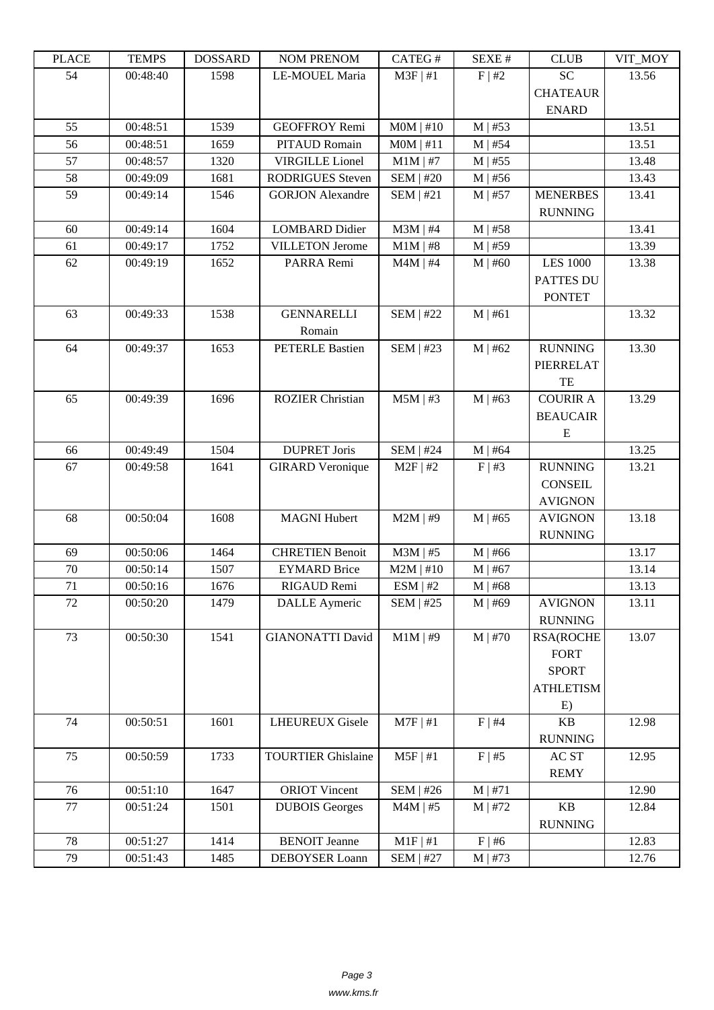| LEACE | <u>ר דוגרדו</u> | <b>UUUUUUU</b> | <b>NUMERICAN</b>          | CATLO 11         | DL/AL π     | CLUD             | VII_MUI |
|-------|-----------------|----------------|---------------------------|------------------|-------------|------------------|---------|
| 54    | 00:48:40        | 1598           | LE-MOUEL Maria            | $M3F$   #1       | F   #2      | <b>SC</b>        | 13.56   |
|       |                 |                |                           |                  |             | <b>CHATEAUR</b>  |         |
|       |                 |                |                           |                  |             | <b>ENARD</b>     |         |
| 55    | 00:48:51        | 1539           | <b>GEOFFROY Remi</b>      | $MOM$   #10      | $M$   #53   |                  | 13.51   |
| 56    | 00:48:51        | 1659           | PITAUD Romain             | $MOM$   #11      | $M$   #54   |                  | 13.51   |
|       |                 |                |                           |                  |             |                  |         |
| 57    | 00:48:57        | 1320           | <b>VIRGILLE</b> Lionel    | $M1M$   #7       | $M$   #55   |                  | 13.48   |
| 58    | 00:49:09        | 1681           | <b>RODRIGUES</b> Steven   | <b>SEM   #20</b> | $M$   #56   |                  | 13.43   |
| 59    | 00:49:14        | 1546           | <b>GORJON</b> Alexandre   | $SEM$   #21      | $M$   #57   | <b>MENERBES</b>  | 13.41   |
|       |                 |                |                           |                  |             | <b>RUNNING</b>   |         |
| 60    | 00:49:14        | 1604           | <b>LOMBARD Didier</b>     | $M3M$   #4       | $M$   #58   |                  | 13.41   |
| 61    | 00:49:17        | 1752           | <b>VILLETON Jerome</b>    | $M1M$   #8       | $M$   #59   |                  | 13.39   |
| 62    | 00:49:19        | 1652           | PARRA Remi                | $M4M$   #4       | $M$   #60   | <b>LES 1000</b>  | 13.38   |
|       |                 |                |                           |                  |             | <b>PATTES DU</b> |         |
|       |                 |                |                           |                  |             | <b>PONTET</b>    |         |
| 63    | 00:49:33        | 1538           | <b>GENNARELLI</b>         | <b>SEM   #22</b> | M   #61     |                  | 13.32   |
|       |                 |                | Romain                    |                  |             |                  |         |
| 64    | 00:49:37        | 1653           | <b>PETERLE Bastien</b>    | <b>SEM   #23</b> | $M$   #62   | <b>RUNNING</b>   | 13.30   |
|       |                 |                |                           |                  |             |                  |         |
|       |                 |                |                           |                  |             | PIERRELAT        |         |
|       |                 |                |                           |                  |             | TE               |         |
| 65    | 00:49:39        | 1696           | <b>ROZIER Christian</b>   | $M5M$   #3       | $M$   #63   | <b>COURIR A</b>  | 13.29   |
|       |                 |                |                           |                  |             | <b>BEAUCAIR</b>  |         |
|       |                 |                |                           |                  |             | E                |         |
| 66    | 00:49:49        | 1504           | <b>DUPRET Joris</b>       | <b>SEM   #24</b> | $M$   #64   |                  | 13.25   |
| 67    | 00:49:58        | 1641           | <b>GIRARD</b> Veronique   | $M2F$   #2       | $F \mid #3$ | <b>RUNNING</b>   | 13.21   |
|       |                 |                |                           |                  |             | <b>CONSEIL</b>   |         |
|       |                 |                |                           |                  |             | <b>AVIGNON</b>   |         |
| 68    | 00:50:04        | 1608           | <b>MAGNI Hubert</b>       | $M2M$   #9       | $M$   #65   | <b>AVIGNON</b>   | 13.18   |
|       |                 |                |                           |                  |             | <b>RUNNING</b>   |         |
| 69    | 00:50:06        | 1464           | <b>CHRETIEN Benoit</b>    | $M3M$   #5       | $M$   #66   |                  | 13.17   |
| 70    | 00:50:14        | 1507           | <b>EYMARD Brice</b>       | $M2M$   #10      | $M$   #67   |                  | 13.14   |
| 71    |                 |                |                           |                  |             |                  |         |
|       | 00:50:16        | 1676           | RIGAUD Remi               | ESM   #2         | $M$   #68   |                  | 13.13   |
| 72    | 00:50:20        | 1479           | <b>DALLE</b> Aymeric      | SEM   #25        | $M$   #69   | <b>AVIGNON</b>   | 13.11   |
|       |                 |                |                           |                  |             | <b>RUNNING</b>   |         |
| 73    | 00:50:30        | 1541           | <b>GIANONATTI David</b>   | $M1M$   #9       | $M$   #70   | <b>RSA(ROCHE</b> | 13.07   |
|       |                 |                |                           |                  |             | <b>FORT</b>      |         |
|       |                 |                |                           |                  |             | <b>SPORT</b>     |         |
|       |                 |                |                           |                  |             | <b>ATHLETISM</b> |         |
|       |                 |                |                           |                  |             | E)               |         |
| 74    | 00:50:51        | 1601           | <b>LHEUREUX Gisele</b>    | $M7F$   #1       | F   #4      | <b>KB</b>        | 12.98   |
|       |                 |                |                           |                  |             | <b>RUNNING</b>   |         |
| 75    | 00:50:59        | 1733           | <b>TOURTIER Ghislaine</b> | $M5F$   #1       | F   #5      | AC ST            | 12.95   |
|       |                 |                |                           |                  |             | <b>REMY</b>      |         |
| 76    | 00:51:10        | 1647           | <b>ORIOT Vincent</b>      | <b>SEM   #26</b> | M   #71     |                  | 12.90   |
| 77    | 00:51:24        | 1501           | <b>DUBOIS Georges</b>     | $M4M$   #5       | $M$   #72   | KB               | 12.84   |
|       |                 |                |                           |                  |             |                  |         |
|       |                 |                |                           |                  |             | <b>RUNNING</b>   |         |
| 78    | 00:51:27        | 1414           | <b>BENOIT</b> Jeanne      | M1F   #1         | $F$   #6    |                  | 12.83   |
| 79    | 00:51:43        | 1485           | DEBOYSER Loann            | <b>SEM   #27</b> | $M$   #73   |                  | 12.76   |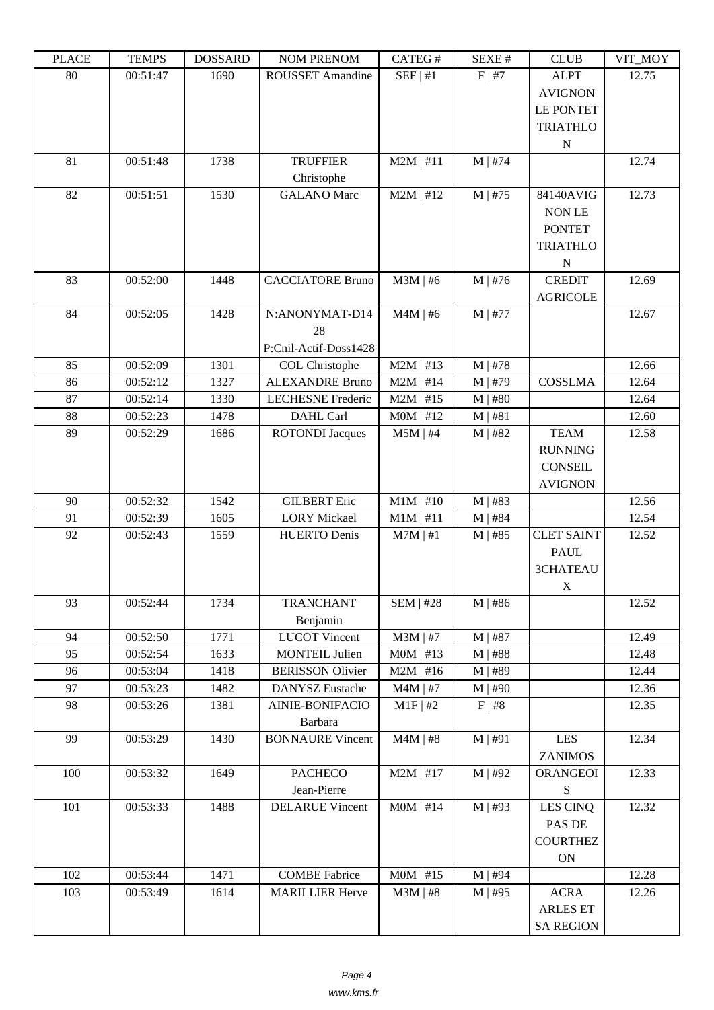| i lati | ט וואדד ו | חשממחת | <b>INOINET IVERFOINE</b> | $CALU \pi$       | π تىدىد      | <b>CLOD</b>                                       | $V11$ $V1$ |
|--------|-----------|--------|--------------------------|------------------|--------------|---------------------------------------------------|------------|
| 80     | 00:51:47  | 1690   | ROUSSET Amandine         | SEF   #1         | F   #7       | <b>ALPT</b><br><b>AVIGNON</b><br><b>LE PONTET</b> | 12.75      |
|        |           |        |                          |                  |              | <b>TRIATHLO</b><br>${\bf N}$                      |            |
| 81     | 00:51:48  | 1738   | <b>TRUFFIER</b>          | $M2M$   #11      | $M$   #74    |                                                   | 12.74      |
|        |           |        | Christophe               |                  |              |                                                   |            |
| 82     | 00:51:51  | 1530   | <b>GALANO</b> Marc       | $M2M$   #12      | $M$   #75    | 84140AVIG                                         | 12.73      |
|        |           |        |                          |                  |              | NON LE                                            |            |
|        |           |        |                          |                  |              | <b>PONTET</b>                                     |            |
|        |           |        |                          |                  |              | <b>TRIATHLO</b>                                   |            |
|        |           |        |                          |                  |              | ${\bf N}$                                         |            |
| 83     | 00:52:00  | 1448   | <b>CACCIATORE Bruno</b>  | $M3M$   #6       | $M \mid #76$ | <b>CREDIT</b>                                     | 12.69      |
|        |           |        |                          |                  |              | <b>AGRICOLE</b>                                   |            |
| 84     | 00:52:05  | 1428   | N:ANONYMAT-D14           | $M4M$   #6       | M   #77      |                                                   | 12.67      |
|        |           |        | 28                       |                  |              |                                                   |            |
|        |           |        | P:Cnil-Actif-Doss1428    |                  |              |                                                   |            |
| 85     | 00:52:09  | 1301   | COL Christophe           | $M2M$   #13      | $M$   #78    |                                                   | 12.66      |
| 86     | 00:52:12  | 1327   | <b>ALEXANDRE Bruno</b>   | $M2M$   #14      | $M$   #79    | <b>COSSLMA</b>                                    | 12.64      |
| 87     | 00:52:14  | 1330   | <b>LECHESNE</b> Frederic | $M2M$   #15      | $M$   #80    |                                                   | 12.64      |
| 88     | 00:52:23  | 1478   | DAHL Carl                | MOM   #12        | M   #81      |                                                   | 12.60      |
| 89     | 00:52:29  | 1686   | <b>ROTONDI</b> Jacques   | $M5M$   #4       | $M$   #82    | <b>TEAM</b>                                       | 12.58      |
|        |           |        |                          |                  |              | <b>RUNNING</b>                                    |            |
|        |           |        |                          |                  |              | <b>CONSEIL</b>                                    |            |
|        |           |        |                          |                  |              | <b>AVIGNON</b>                                    |            |
| 90     | 00:52:32  | 1542   | <b>GILBERT</b> Eric      | $M1M$   #10      | $M$   #83    |                                                   | 12.56      |
| 91     | 00:52:39  | 1605   | <b>LORY</b> Mickael      | $M1M$   #11      | $M$   #84    | <b>CLET SAINT</b>                                 | 12.54      |
| 92     | 00:52:43  | 1559   | <b>HUERTO Denis</b>      | $M7M$   #1       | $M$   #85    | <b>PAUL</b>                                       | 12.52      |
|        |           |        |                          |                  |              | 3CHATEAU                                          |            |
|        |           |        |                          |                  |              | X                                                 |            |
| 93     | 00:52:44  | 1734   | <b>TRANCHANT</b>         | <b>SEM   #28</b> | $M$   #86    |                                                   | 12.52      |
|        |           |        | Benjamin                 |                  |              |                                                   |            |
| 94     | 00:52:50  | 1771   | <b>LUCOT Vincent</b>     | $M3M$   #7       | $M$   #87    |                                                   | 12.49      |
| 95     | 00:52:54  | 1633   | <b>MONTEIL Julien</b>    | $MOM$   #13      | $M$   #88    |                                                   | 12.48      |
| 96     | 00:53:04  | 1418   | <b>BERISSON Olivier</b>  | $M2M$   #16      | $M$   #89    |                                                   | 12.44      |
| 97     | 00:53:23  | 1482   | <b>DANYSZ</b> Eustache   | $M4M$   #7       | $M \mid #90$ |                                                   | 12.36      |
| 98     | 00:53:26  | 1381   | AINIE-BONIFACIO          | $M1F$ #2         | F   #8       |                                                   | 12.35      |
|        |           |        | Barbara                  |                  |              |                                                   |            |
| 99     | 00:53:29  | 1430   | <b>BONNAURE Vincent</b>  | $M4M$   #8       | M   #91      | <b>LES</b>                                        | 12.34      |
|        |           |        |                          |                  |              | <b>ZANIMOS</b>                                    |            |
| 100    | 00:53:32  | 1649   | <b>PACHECO</b>           | $M2M$   #17      | $M$   #92    | <b>ORANGEOI</b>                                   | 12.33      |
|        |           |        | Jean-Pierre              |                  |              | ${\bf S}$                                         |            |
| 101    | 00:53:33  | 1488   | <b>DELARUE Vincent</b>   | $MOM$   #14      | $M$   #93    | LES CINQ                                          | 12.32      |
|        |           |        |                          |                  |              | PAS DE                                            |            |
|        |           |        |                          |                  |              | <b>COURTHEZ</b>                                   |            |
|        |           |        |                          |                  |              | ON                                                |            |
| 102    | 00:53:44  | 1471   | <b>COMBE Fabrice</b>     | $MOM$   #15      | $M$   #94    |                                                   | 12.28      |
| 103    | 00:53:49  | 1614   | <b>MARILLIER Herve</b>   | $M3M$   #8       | $M \mid #95$ | <b>ACRA</b>                                       | 12.26      |
|        |           |        |                          |                  |              | <b>ARLES ET</b>                                   |            |
|        |           |        |                          |                  |              | <b>SA REGION</b>                                  |            |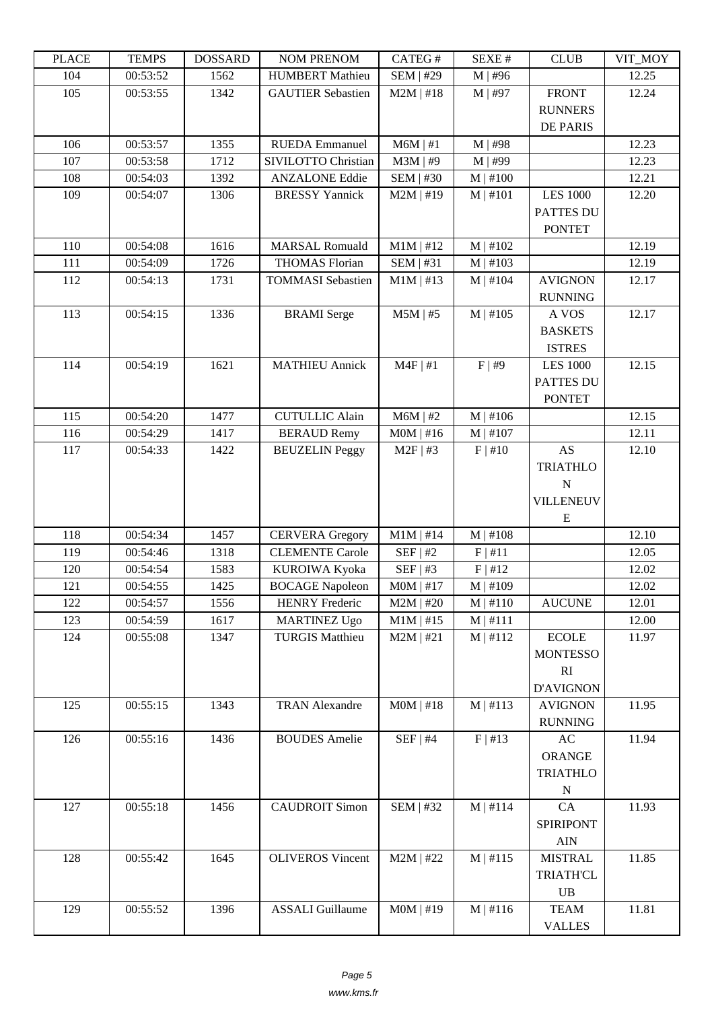| LLAUL | L LIVIII IJ | <u> תעדעמטרע</u> | <b>INUMER NETVUM</b>     | CATLO T          | יד ברגבוט             | CLUD             | VII_MUI |
|-------|-------------|------------------|--------------------------|------------------|-----------------------|------------------|---------|
| 104   | 00:53:52    | 1562             | <b>HUMBERT</b> Mathieu   | <b>SEM   #29</b> | $M$   #96             |                  | 12.25   |
| 105   | 00:53:55    | 1342             | <b>GAUTIER Sebastien</b> | $M2M$   #18      | $M$   #97             | <b>FRONT</b>     | 12.24   |
|       |             |                  |                          |                  |                       | <b>RUNNERS</b>   |         |
|       |             |                  |                          |                  |                       | <b>DE PARIS</b>  |         |
| 106   | 00:53:57    | 1355             | <b>RUEDA</b> Emmanuel    | $M6M$   #1       | M   #98               |                  | 12.23   |
| 107   | 00:53:58    | 1712             | SIVILOTTO Christian      | $M3M$   #9       | M   #99               |                  | 12.23   |
| 108   | 00:54:03    | 1392             | <b>ANZALONE Eddie</b>    | <b>SEM   #30</b> | $M \mid #100$         |                  | 12.21   |
| 109   | 00:54:07    | 1306             | <b>BRESSY Yannick</b>    | $M2M$   #19      | $M$   #101            | <b>LES 1000</b>  | 12.20   |
|       |             |                  |                          |                  |                       | <b>PATTES DU</b> |         |
|       |             |                  |                          |                  |                       | <b>PONTET</b>    |         |
| 110   | 00:54:08    | 1616             | <b>MARSAL Romuald</b>    | $M1M$   #12      | M   #102              |                  | 12.19   |
| 111   | 00:54:09    | 1726             | <b>THOMAS Florian</b>    | $SEM$   #31      | M   #103              |                  | 12.19   |
| 112   | 00:54:13    | 1731             | <b>TOMMASI</b> Sebastien | $M1M$   #13      | $M$   #104            | <b>AVIGNON</b>   | 12.17   |
|       |             |                  |                          |                  |                       | <b>RUNNING</b>   |         |
| 113   | 00:54:15    | 1336             | <b>BRAMI</b> Serge       | $M5M$   #5       | $\overline{M}$   #105 | A VOS            | 12.17   |
|       |             |                  |                          |                  |                       | <b>BASKETS</b>   |         |
|       |             |                  |                          |                  |                       | <b>ISTRES</b>    |         |
| 114   | 00:54:19    | 1621             | <b>MATHIEU Annick</b>    | $M4F$   #1       | F   #9                | <b>LES 1000</b>  | 12.15   |
|       |             |                  |                          |                  |                       | PATTES DU        |         |
|       |             |                  |                          |                  |                       | <b>PONTET</b>    |         |
| 115   | 00:54:20    | 1477             | <b>CUTULLIC Alain</b>    | $M6M$   #2       | M   #106              |                  | 12.15   |
| 116   | 00:54:29    | 1417             | <b>BERAUD Remy</b>       | $MOM$   #16      | $M$   #107            |                  | 12.11   |
| 117   | 00:54:33    | 1422             | <b>BEUZELIN</b> Peggy    | $M2F$   #3       | F   #10               | AS               | 12.10   |
|       |             |                  |                          |                  |                       | <b>TRIATHLO</b>  |         |
|       |             |                  |                          |                  |                       | $\mathbf N$      |         |
|       |             |                  |                          |                  |                       | VILLENEUV<br>E   |         |
| 118   | 00:54:34    | 1457             | <b>CERVERA</b> Gregory   | $M1M$   #14      | M   #108              |                  | 12.10   |
| 119   | 00:54:46    | 1318             | <b>CLEMENTE Carole</b>   | SEF   #2         | F   #11               |                  | 12.05   |
| 120   | 00:54:54    | 1583             | KUROIWA Kyoka            | SEF   #3         | F   #12               |                  | 12.02   |
| 121   | 00:54:55    | 1425             | <b>BOCAGE Napoleon</b>   | $MOM$   #17      | $M$   #109            |                  | 12.02   |
| 122   | 00:54:57    | 1556             | <b>HENRY Frederic</b>    | $M2M$   #20      | $M \mid #110$         | <b>AUCUNE</b>    | 12.01   |
| 123   | 00:54:59    | 1617             | <b>MARTINEZ Ugo</b>      | $M1M$   #15      | $M$   #111            |                  | 12.00   |
| 124   | 00:55:08    | 1347             | <b>TURGIS Matthieu</b>   | $M2M$   #21      | M   #112              | <b>ECOLE</b>     | 11.97   |
|       |             |                  |                          |                  |                       | <b>MONTESSO</b>  |         |
|       |             |                  |                          |                  |                       | RI               |         |
|       |             |                  |                          |                  |                       | D'AVIGNON        |         |
| 125   | 00:55:15    | 1343             | <b>TRAN Alexandre</b>    | $MOM$   #18      | M   #113              | <b>AVIGNON</b>   | 11.95   |
|       |             |                  |                          |                  |                       | <b>RUNNING</b>   |         |
| 126   | 00:55:16    | 1436             | <b>BOUDES</b> Amelie     | $SEF$   #4       | F   #13               | AC               | 11.94   |
|       |             |                  |                          |                  |                       | ORANGE           |         |
|       |             |                  |                          |                  |                       | <b>TRIATHLO</b>  |         |
|       |             |                  |                          |                  |                       | $\mathbf N$      |         |
| 127   | 00:55:18    | 1456             | <b>CAUDROIT Simon</b>    | <b>SEM   #32</b> | $M$   #114            | CA               | 11.93   |
|       |             |                  |                          |                  |                       | SPIRIPONT        |         |
|       |             |                  |                          |                  |                       | <b>AIN</b>       |         |
| 128   | 00:55:42    | 1645             | <b>OLIVEROS</b> Vincent  | $M2M$   #22      | M   #115              | <b>MISTRAL</b>   | 11.85   |
|       |             |                  |                          |                  |                       | <b>TRIATH'CL</b> |         |
|       |             |                  |                          |                  |                       | $\mathbf{UB}$    |         |
| 129   | 00:55:52    | 1396             | <b>ASSALI</b> Guillaume  | $MOM$   #19      | M   #116              | <b>TEAM</b>      | 11.81   |
|       |             |                  |                          |                  |                       | <b>VALLES</b>    |         |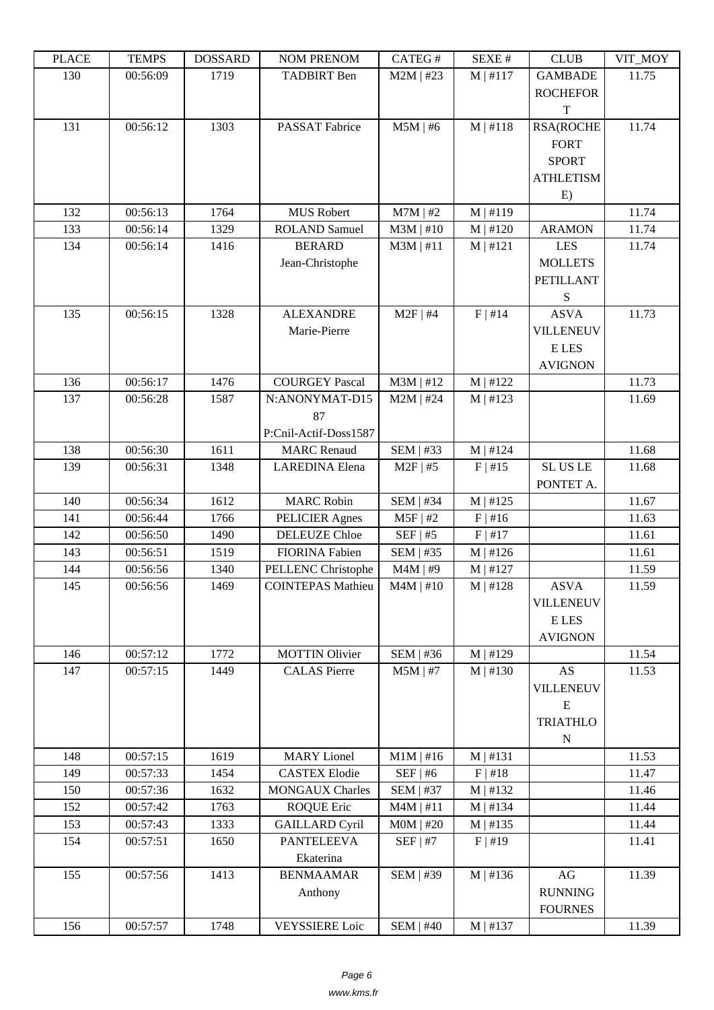| 130<br>$M2M$   #23<br>$M$   #117<br>00:56:09<br>1719<br><b>TADBIRT</b> Ben<br><b>GAMBADE</b><br>11.75<br><b>ROCHEFOR</b><br>T<br>$M$   #118<br>11.74<br>131<br>00:56:12<br>1303<br><b>RSA(ROCHE</b><br><b>PASSAT Fabrice</b><br>$M5M$   #6<br><b>FORT</b><br><b>SPORT</b><br><b>ATHLETISM</b><br>E)<br>00:56:13<br>$M$   #119<br>1764<br><b>MUS Robert</b><br>$M7M$   #2<br>11.74<br>132<br>1329<br>133<br>00:56:14<br><b>ROLAND Samuel</b><br>$M3M$   #10<br>$M \mid #120$<br><b>ARAMON</b><br>11.74<br>11.74<br>134<br>00:56:14<br>1416<br><b>BERARD</b><br>$M3M$   #11<br>$M$   #121<br><b>LES</b><br>Jean-Christophe<br><b>MOLLETS</b><br><b>PETILLANT</b><br>S<br>F   #14<br>135<br>00:56:15<br>1328<br><b>ALEXANDRE</b><br>$M2F$   #4<br>11.73<br><b>ASVA</b> |
|---------------------------------------------------------------------------------------------------------------------------------------------------------------------------------------------------------------------------------------------------------------------------------------------------------------------------------------------------------------------------------------------------------------------------------------------------------------------------------------------------------------------------------------------------------------------------------------------------------------------------------------------------------------------------------------------------------------------------------------------------------------------|
|                                                                                                                                                                                                                                                                                                                                                                                                                                                                                                                                                                                                                                                                                                                                                                     |
|                                                                                                                                                                                                                                                                                                                                                                                                                                                                                                                                                                                                                                                                                                                                                                     |
|                                                                                                                                                                                                                                                                                                                                                                                                                                                                                                                                                                                                                                                                                                                                                                     |
|                                                                                                                                                                                                                                                                                                                                                                                                                                                                                                                                                                                                                                                                                                                                                                     |
|                                                                                                                                                                                                                                                                                                                                                                                                                                                                                                                                                                                                                                                                                                                                                                     |
|                                                                                                                                                                                                                                                                                                                                                                                                                                                                                                                                                                                                                                                                                                                                                                     |
|                                                                                                                                                                                                                                                                                                                                                                                                                                                                                                                                                                                                                                                                                                                                                                     |
|                                                                                                                                                                                                                                                                                                                                                                                                                                                                                                                                                                                                                                                                                                                                                                     |
|                                                                                                                                                                                                                                                                                                                                                                                                                                                                                                                                                                                                                                                                                                                                                                     |
|                                                                                                                                                                                                                                                                                                                                                                                                                                                                                                                                                                                                                                                                                                                                                                     |
|                                                                                                                                                                                                                                                                                                                                                                                                                                                                                                                                                                                                                                                                                                                                                                     |
|                                                                                                                                                                                                                                                                                                                                                                                                                                                                                                                                                                                                                                                                                                                                                                     |
|                                                                                                                                                                                                                                                                                                                                                                                                                                                                                                                                                                                                                                                                                                                                                                     |
|                                                                                                                                                                                                                                                                                                                                                                                                                                                                                                                                                                                                                                                                                                                                                                     |
|                                                                                                                                                                                                                                                                                                                                                                                                                                                                                                                                                                                                                                                                                                                                                                     |
| Marie-Pierre<br><b>VILLENEUV</b>                                                                                                                                                                                                                                                                                                                                                                                                                                                                                                                                                                                                                                                                                                                                    |
| <b>ELES</b>                                                                                                                                                                                                                                                                                                                                                                                                                                                                                                                                                                                                                                                                                                                                                         |
| <b>AVIGNON</b>                                                                                                                                                                                                                                                                                                                                                                                                                                                                                                                                                                                                                                                                                                                                                      |
| 00:56:17<br>1476<br><b>COURGEY Pascal</b><br>$M3M$   #12<br>11.73<br>136<br>M   #122                                                                                                                                                                                                                                                                                                                                                                                                                                                                                                                                                                                                                                                                                |
| $\overline{M}$   #123<br>137<br>00:56:28<br>1587<br>N:ANONYMAT-D15<br>$M2M$   #24<br>11.69                                                                                                                                                                                                                                                                                                                                                                                                                                                                                                                                                                                                                                                                          |
| 87                                                                                                                                                                                                                                                                                                                                                                                                                                                                                                                                                                                                                                                                                                                                                                  |
| P:Cnil-Actif-Doss1587                                                                                                                                                                                                                                                                                                                                                                                                                                                                                                                                                                                                                                                                                                                                               |
|                                                                                                                                                                                                                                                                                                                                                                                                                                                                                                                                                                                                                                                                                                                                                                     |
| 00:56:30<br>138<br>1611<br>SEM   #33<br>M   #124<br>11.68<br><b>MARC</b> Renaud                                                                                                                                                                                                                                                                                                                                                                                                                                                                                                                                                                                                                                                                                     |
| SL US LE<br>139<br>1348<br>$M2F$   #5<br>F   #15<br>00:56:31<br><b>LAREDINA</b> Elena<br>11.68                                                                                                                                                                                                                                                                                                                                                                                                                                                                                                                                                                                                                                                                      |
| PONTET A.                                                                                                                                                                                                                                                                                                                                                                                                                                                                                                                                                                                                                                                                                                                                                           |
| 1612<br><b>MARC Robin</b><br>140<br>00:56:34<br><b>SEM   #34</b><br>M   #125<br>11.67                                                                                                                                                                                                                                                                                                                                                                                                                                                                                                                                                                                                                                                                               |
| 00:56:44<br>11.63<br>141<br>1766<br>PELICIER Agnes<br>$M5F$   #2<br>$F$   #16                                                                                                                                                                                                                                                                                                                                                                                                                                                                                                                                                                                                                                                                                       |
| 1490<br><b>DELEUZE Chloe</b><br>$SEF$   #5<br>F   #17<br>11.61<br>142<br>00:56:50                                                                                                                                                                                                                                                                                                                                                                                                                                                                                                                                                                                                                                                                                   |
| 00:56:51<br>1519<br>SEM   #35<br>11.61<br>143<br><b>FIORINA Fabien</b><br>M   #126                                                                                                                                                                                                                                                                                                                                                                                                                                                                                                                                                                                                                                                                                  |
| 11.59<br>144<br>00:56:56<br>1340<br>PELLENC Christophe<br>$M4M$   #9<br>M   #127                                                                                                                                                                                                                                                                                                                                                                                                                                                                                                                                                                                                                                                                                    |
| <b>ASVA</b><br>145<br>00:56:56<br>1469<br><b>COINTEPAS Mathieu</b><br>$M4M$   #10<br>$M$   #128<br>11.59                                                                                                                                                                                                                                                                                                                                                                                                                                                                                                                                                                                                                                                            |
| <b>VILLENEUV</b>                                                                                                                                                                                                                                                                                                                                                                                                                                                                                                                                                                                                                                                                                                                                                    |
| <b>ELES</b>                                                                                                                                                                                                                                                                                                                                                                                                                                                                                                                                                                                                                                                                                                                                                         |
| <b>AVIGNON</b>                                                                                                                                                                                                                                                                                                                                                                                                                                                                                                                                                                                                                                                                                                                                                      |
| 00:57:12<br>1772<br>11.54<br>146<br><b>MOTTIN Olivier</b><br>SEM   #36<br>$M \mid #129$                                                                                                                                                                                                                                                                                                                                                                                                                                                                                                                                                                                                                                                                             |
| 147<br>1449<br><b>CALAS</b> Pierre<br>$M5M$   #7<br>$M \mid #130$<br>AS<br>11.53<br>00:57:15                                                                                                                                                                                                                                                                                                                                                                                                                                                                                                                                                                                                                                                                        |
| <b>VILLENEUV</b>                                                                                                                                                                                                                                                                                                                                                                                                                                                                                                                                                                                                                                                                                                                                                    |
| E                                                                                                                                                                                                                                                                                                                                                                                                                                                                                                                                                                                                                                                                                                                                                                   |
| <b>TRIATHLO</b>                                                                                                                                                                                                                                                                                                                                                                                                                                                                                                                                                                                                                                                                                                                                                     |
| $\mathbf N$                                                                                                                                                                                                                                                                                                                                                                                                                                                                                                                                                                                                                                                                                                                                                         |
| 00:57:15<br>1619<br><b>MARY</b> Lionel<br>11.53<br>148<br>$M1M$   #16<br>M   #131                                                                                                                                                                                                                                                                                                                                                                                                                                                                                                                                                                                                                                                                                   |
| 1454<br><b>CASTEX Elodie</b><br>SEF   #6<br>F   #18<br>11.47<br>149<br>00:57:33                                                                                                                                                                                                                                                                                                                                                                                                                                                                                                                                                                                                                                                                                     |
| 00:57:36<br>1632<br><b>MONGAUX Charles</b><br><b>SEM   #37</b><br>M   #132<br>11.46<br>150                                                                                                                                                                                                                                                                                                                                                                                                                                                                                                                                                                                                                                                                          |
| 11.44<br>152<br>00:57:42<br>1763<br><b>ROQUE Eric</b><br>$M4M$   #11<br>$M$   #134                                                                                                                                                                                                                                                                                                                                                                                                                                                                                                                                                                                                                                                                                  |
| $MOM$   #20<br>M   #135<br>11.44<br>153<br>00:57:43<br>1333<br><b>GAILLARD Cyril</b>                                                                                                                                                                                                                                                                                                                                                                                                                                                                                                                                                                                                                                                                                |
| 1650<br>154<br>00:57:51<br><b>PANTELEEVA</b><br>$SEF$   #7<br>$F$   #19<br>11.41                                                                                                                                                                                                                                                                                                                                                                                                                                                                                                                                                                                                                                                                                    |
| Ekaterina                                                                                                                                                                                                                                                                                                                                                                                                                                                                                                                                                                                                                                                                                                                                                           |
| 1413<br><b>SEM   #39</b><br>M   #136<br>155<br>00:57:56<br>AG<br>11.39<br><b>BENMAAMAR</b>                                                                                                                                                                                                                                                                                                                                                                                                                                                                                                                                                                                                                                                                          |
| <b>RUNNING</b><br>Anthony                                                                                                                                                                                                                                                                                                                                                                                                                                                                                                                                                                                                                                                                                                                                           |
| <b>FOURNES</b>                                                                                                                                                                                                                                                                                                                                                                                                                                                                                                                                                                                                                                                                                                                                                      |
| 156<br>00:57:57<br>1748<br><b>VEYSSIERE</b> Loic<br>$SEM$   #40<br>$M$   #137<br>11.39                                                                                                                                                                                                                                                                                                                                                                                                                                                                                                                                                                                                                                                                              |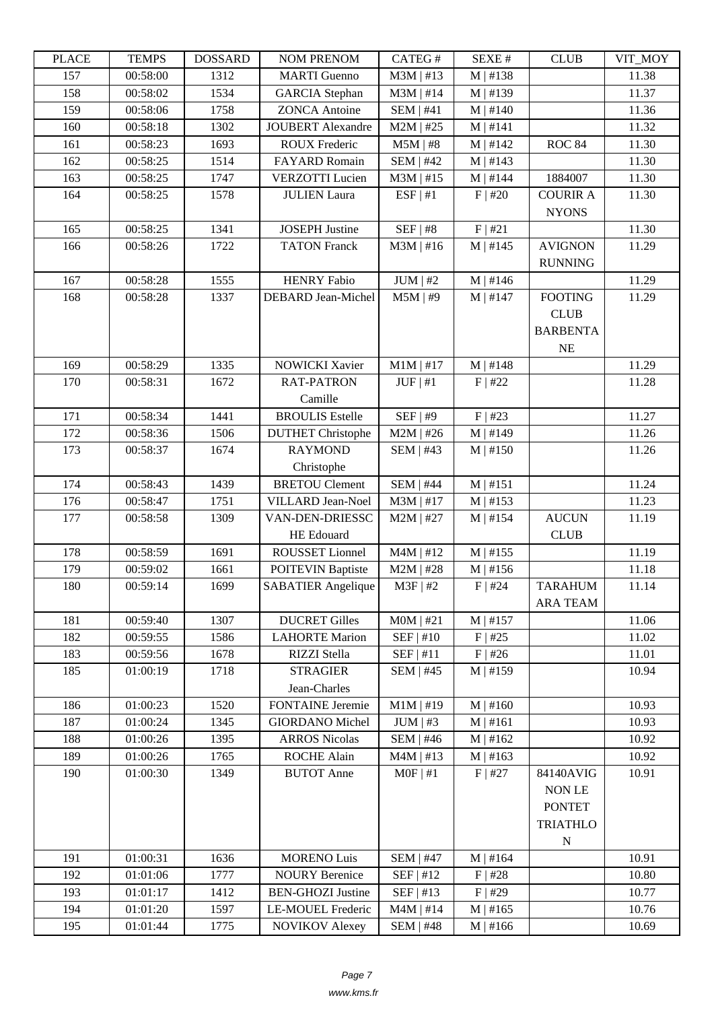| LLAUL | L LIVIII IJ | <u> תעדעמטרע</u> | NUM TNENUM                | <b>CATLO</b> T            | יד בבלגבוט    | CLUD            | VII_NIVI |
|-------|-------------|------------------|---------------------------|---------------------------|---------------|-----------------|----------|
| 157   | 00:58:00    | 1312             | <b>MARTI</b> Guenno       | $M3M$   #13               | M   #138      |                 | 11.38    |
| 158   | 00:58:02    | 1534             | <b>GARCIA</b> Stephan     | $M3M$   #14               | M   #139      |                 | 11.37    |
| 159   | 00:58:06    | 1758             | <b>ZONCA Antoine</b>      | <b>SEM   #41</b>          | $M \mid #140$ |                 | 11.36    |
| 160   | 00:58:18    | 1302             | <b>JOUBERT</b> Alexandre  | $M2M$   #25               | M   #141      |                 | 11.32    |
| 161   | 00:58:23    | 1693             | <b>ROUX Frederic</b>      | $M5M$   #8                | M   #142      | <b>ROC 84</b>   | 11.30    |
| 162   | 00:58:25    | 1514             | <b>FAYARD Romain</b>      | <b>SEM   #42</b>          | M   #143      |                 | 11.30    |
| 163   | 00:58:25    | 1747             | <b>VERZOTTI</b> Lucien    | $M3M$   #15               | $M$   #144    | 1884007         | 11.30    |
| 164   | 00:58:25    | 1578             | <b>JULIEN Laura</b>       | ESF   #1                  | $F$   #20     | <b>COURIR A</b> | 11.30    |
|       |             |                  |                           |                           |               | <b>NYONS</b>    |          |
| 165   | 00:58:25    | 1341             | <b>JOSEPH Justine</b>     | $SEF$   #8                | F   #21       |                 | 11.30    |
| 166   | 00:58:26    | 1722             | <b>TATON Franck</b>       | $M3M$   #16               | M   #145      | <b>AVIGNON</b>  | 11.29    |
|       |             |                  |                           |                           |               | <b>RUNNING</b>  |          |
| 167   | 00:58:28    | 1555             | <b>HENRY Fabio</b>        | $JUM$   #2                | M   #146      |                 | 11.29    |
| 168   | 00:58:28    | 1337             | <b>DEBARD</b> Jean-Michel | $M5M$   #9                | M   #147      | <b>FOOTING</b>  | 11.29    |
|       |             |                  |                           |                           |               | <b>CLUB</b>     |          |
|       |             |                  |                           |                           |               | <b>BARBENTA</b> |          |
|       |             |                  |                           |                           |               | NE              |          |
| 169   | 00:58:29    | 1335             | <b>NOWICKI Xavier</b>     | $M1M$   #17               | M   #148      |                 | 11.29    |
| 170   | 00:58:31    | 1672             | <b>RAT-PATRON</b>         | $JUF \mid #1$             | $F$   #22     |                 | 11.28    |
|       |             |                  | Camille                   |                           |               |                 |          |
| 171   | 00:58:34    | 1441             | <b>BROULIS</b> Estelle    | $SEF$   #9                | F   #23       |                 | 11.27    |
| 172   | 00:58:36    | 1506             | <b>DUTHET</b> Christophe  | $M2M$   #26               | M   #149      |                 | 11.26    |
| 173   | 00:58:37    | 1674             | <b>RAYMOND</b>            | <b>SEM   #43</b>          | M   #150      |                 | 11.26    |
|       |             |                  | Christophe                |                           |               |                 |          |
| 174   | 00:58:43    | 1439             | <b>BRETOU Clement</b>     | <b>SEM   #44</b>          | M   #151      |                 | 11.24    |
| 176   | 00:58:47    | 1751             | <b>VILLARD Jean-Noel</b>  | $M3M$   #17               | M   #153      |                 | 11.23    |
| 177   | 00:58:58    | 1309             | VAN-DEN-DRIESSC           | $M2M$   #27               | M   #154      | <b>AUCUN</b>    | 11.19    |
|       |             |                  | <b>HE</b> Edouard         |                           |               | <b>CLUB</b>     |          |
| 178   | 00:58:59    | 1691             | ROUSSET Lionnel           | $M4M$   #12               | M   #155      |                 | 11.19    |
| 179   | 00:59:02    | 1661             | <b>POITEVIN Baptiste</b>  | $M2M$   #28               | M   #156      |                 | 11.18    |
| 180   | 00:59:14    | 1699             | <b>SABATIER</b> Angelique | $M3F$   #2                | $F$   #24     | <b>TARAHUM</b>  | 11.14    |
|       |             |                  |                           |                           |               | <b>ARA TEAM</b> |          |
| 181   | 00:59:40    | 1307             | <b>DUCRET Gilles</b>      | $MOM$   #21               | M   #157      |                 | 11.06    |
| 182   | 00:59:55    | 1586             | <b>LAHORTE Marion</b>     | SEF   #10                 | $F$   #25     |                 | 11.02    |
| 183   | 00:59:56    | 1678             | RIZZI Stella              | SEF   #11                 | $F$   #26     |                 | 11.01    |
| 185   | 01:00:19    | 1718             | <b>STRAGIER</b>           | $SEM$   #45               | M   #159      |                 | 10.94    |
|       |             |                  | Jean-Charles              |                           |               |                 |          |
| 186   | 01:00:23    | 1520             | <b>FONTAINE</b> Jeremie   | $M1M$   #19<br>$JUM$   #3 | M   #160      |                 | 10.93    |
| 187   | 01:00:24    | 1345             | <b>GIORDANO</b> Michel    |                           | M   #161      |                 | 10.93    |
| 188   | 01:00:26    | 1395             | <b>ARROS Nicolas</b>      | <b>SEM   #46</b>          | M   #162      |                 | 10.92    |
| 189   | 01:00:26    | 1765             | <b>ROCHE Alain</b>        | $M4M$   #13               | M   #163      |                 | 10.92    |
| 190   | 01:00:30    | 1349             | <b>BUTOT</b> Anne         | $MOF$   #1                | $F$   #27     | 84140AVIG       | 10.91    |
|       |             |                  |                           |                           |               | NON LE          |          |
|       |             |                  |                           |                           |               | <b>PONTET</b>   |          |
|       |             |                  |                           |                           |               | <b>TRIATHLO</b> |          |
|       |             |                  |                           |                           |               | $\mathbf N$     |          |
| 191   | 01:00:31    | 1636             | <b>MORENO Luis</b>        | <b>SEM   #47</b>          | $M$   #164    |                 | 10.91    |
| 192   | 01:01:06    | 1777             | <b>NOURY Berenice</b>     | SEF   #12                 | $F$   #28     |                 | 10.80    |
| 193   | 01:01:17    | 1412             | <b>BEN-GHOZI Justine</b>  | SEF   #13                 | $F$   #29     |                 | 10.77    |
| 194   | 01:01:20    | 1597             | LE-MOUEL Frederic         | $M4M$   #14               | M   #165      |                 | 10.76    |
| 195   | 01:01:44    | 1775             | <b>NOVIKOV</b> Alexey     | <b>SEM   #48</b>          | M   #166      |                 | 10.69    |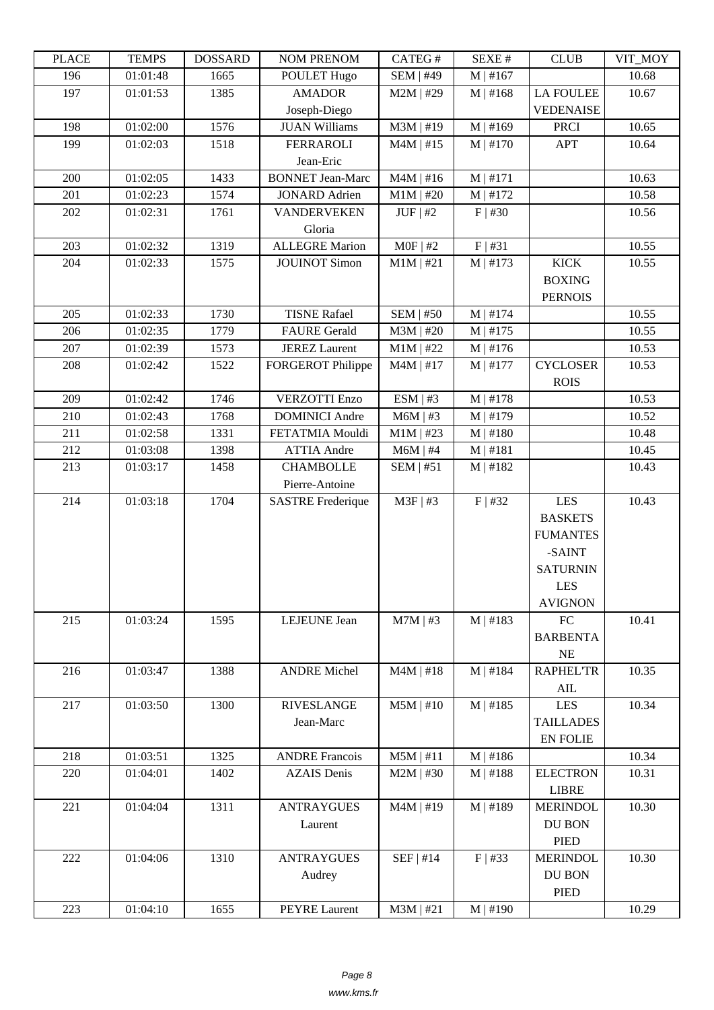| LLAUD | L LIVIII IJ | <u> עוזה ממטעד</u> | <b>INUMER NETVUM</b>     | CATLO T          | יד ברגבוט     | CLUD             | YII_MUI |
|-------|-------------|--------------------|--------------------------|------------------|---------------|------------------|---------|
| 196   | 01:01:48    | 1665               | POULET Hugo              | <b>SEM   #49</b> | M   #167      |                  | 10.68   |
| 197   | 01:01:53    | 1385               | <b>AMADOR</b>            | $M2M$   #29      | M   #168      | <b>LA FOULEE</b> | 10.67   |
|       |             |                    | Joseph-Diego             |                  |               | <b>VEDENAISE</b> |         |
| 198   | 01:02:00    | 1576               | <b>JUAN Williams</b>     | $M3M$   #19      | M   #169      | <b>PRCI</b>      | 10.65   |
| 199   | 01:02:03    | 1518               | <b>FERRAROLI</b>         | $M4M$   #15      | $M \mid #170$ | <b>APT</b>       | 10.64   |
|       |             |                    | Jean-Eric                |                  |               |                  |         |
| 200   | 01:02:05    | 1433               | <b>BONNET Jean-Marc</b>  | $M4M$   #16      | $M$   #171    |                  | 10.63   |
| 201   | 01:02:23    | 1574               | <b>JONARD Adrien</b>     | $M1M$   #20      | M   #172      |                  | 10.58   |
|       |             |                    |                          |                  |               |                  |         |
| 202   | 01:02:31    | 1761               | <b>VANDERVEKEN</b>       | $JUF$ #2         | $F$   #30     |                  | 10.56   |
|       |             |                    | Gloria                   |                  |               |                  |         |
| 203   | 01:02:32    | 1319               | <b>ALLEGRE Marion</b>    | $MOF$   #2       | F   #31       |                  | 10.55   |
| 204   | 01:02:33    | 1575               | <b>JOUINOT Simon</b>     | $M1M$   #21      | M   #173      | <b>KICK</b>      | 10.55   |
|       |             |                    |                          |                  |               | <b>BOXING</b>    |         |
|       |             |                    |                          |                  |               | <b>PERNOIS</b>   |         |
| 205   | 01:02:33    | 1730               | <b>TISNE Rafael</b>      | <b>SEM   #50</b> | $M$   #174    |                  | 10.55   |
| 206   | 01:02:35    | 1779               | <b>FAURE Gerald</b>      | $M3M$   #20      | M   #175      |                  | 10.55   |
| 207   | 01:02:39    | 1573               | <b>JEREZ Laurent</b>     | $M1M$   #22      | M   #176      |                  | 10.53   |
| 208   | 01:02:42    | 1522               | <b>FORGEROT Philippe</b> | $M4M$   #17      | $M$   #177    | <b>CYCLOSER</b>  | 10.53   |
|       |             |                    |                          |                  |               | <b>ROIS</b>      |         |
| 209   | 01:02:42    | 1746               | <b>VERZOTTI Enzo</b>     | ESM   #3         | M   #178      |                  | 10.53   |
| 210   | 01:02:43    | 1768               | <b>DOMINICI</b> Andre    | $M6M$   #3       | $M$   #179    |                  | 10.52   |
| 211   | 01:02:58    | 1331               | FETATMIA Mouldi          | $M1M$   #23      | $M \mid #180$ |                  | 10.48   |
|       |             |                    |                          |                  |               |                  |         |
| 212   | 01:03:08    | 1398               | <b>ATTIA Andre</b>       | $M6M$   #4       | M   #181      |                  | 10.45   |
| 213   | 01:03:17    | 1458               | <b>CHAMBOLLE</b>         | SEM   #51        | M   #182      |                  | 10.43   |
|       |             |                    | Pierre-Antoine           |                  |               |                  |         |
| 214   | 01:03:18    | 1704               | <b>SASTRE Frederique</b> | $M3F$ #3         | F   #32       | <b>LES</b>       | 10.43   |
|       |             |                    |                          |                  |               | <b>BASKETS</b>   |         |
|       |             |                    |                          |                  |               | <b>FUMANTES</b>  |         |
|       |             |                    |                          |                  |               | -SAINT           |         |
|       |             |                    |                          |                  |               | <b>SATURNIN</b>  |         |
|       |             |                    |                          |                  |               | <b>LES</b>       |         |
|       |             |                    |                          |                  |               | <b>AVIGNON</b>   |         |
| 215   | 01:03:24    | 1595               | LEJEUNE Jean             | $M7M$   #3       | M   #183      | ${\rm FC}$       | 10.41   |
|       |             |                    |                          |                  |               | <b>BARBENTA</b>  |         |
|       |             |                    |                          |                  |               | NE               |         |
| 216   | 01:03:47    | 1388               | <b>ANDRE Michel</b>      | $M4M$   #18      | M   #184      | <b>RAPHEL'TR</b> | 10.35   |
|       |             |                    |                          |                  |               | AIL              |         |
| 217   | 01:03:50    | 1300               | <b>RIVESLANGE</b>        | $M5M$   #10      | M   #185      | <b>LES</b>       | 10.34   |
|       |             |                    | Jean-Marc                |                  |               | <b>TAILLADES</b> |         |
|       |             |                    |                          |                  |               |                  |         |
|       |             |                    |                          |                  |               | <b>EN FOLIE</b>  |         |
| 218   | 01:03:51    | 1325               | <b>ANDRE Francois</b>    | $M5M$   #11      | M   #186      |                  | 10.34   |
| 220   | 01:04:01    | 1402               | <b>AZAIS</b> Denis       | $M2M$   #30      | M   #188      | <b>ELECTRON</b>  | 10.31   |
|       |             |                    |                          |                  |               | <b>LIBRE</b>     |         |
| 221   | 01:04:04    | 1311               | <b>ANTRAYGUES</b>        | $M4M$   #19      | M   #189      | <b>MERINDOL</b>  | 10.30   |
|       |             |                    | Laurent                  |                  |               | DU BON           |         |
|       |             |                    |                          |                  |               | <b>PIED</b>      |         |
| 222   | 01:04:06    | 1310               | <b>ANTRAYGUES</b>        | $SEF$   #14      | $F$   #33     | <b>MERINDOL</b>  | 10.30   |
|       |             |                    | Audrey                   |                  |               | DU BON           |         |
|       |             |                    |                          |                  |               | PIED             |         |
| 223   | 01:04:10    | 1655               | <b>PEYRE Laurent</b>     | $M3M$   #21      | $M \mid #190$ |                  | 10.29   |
|       |             |                    |                          |                  |               |                  |         |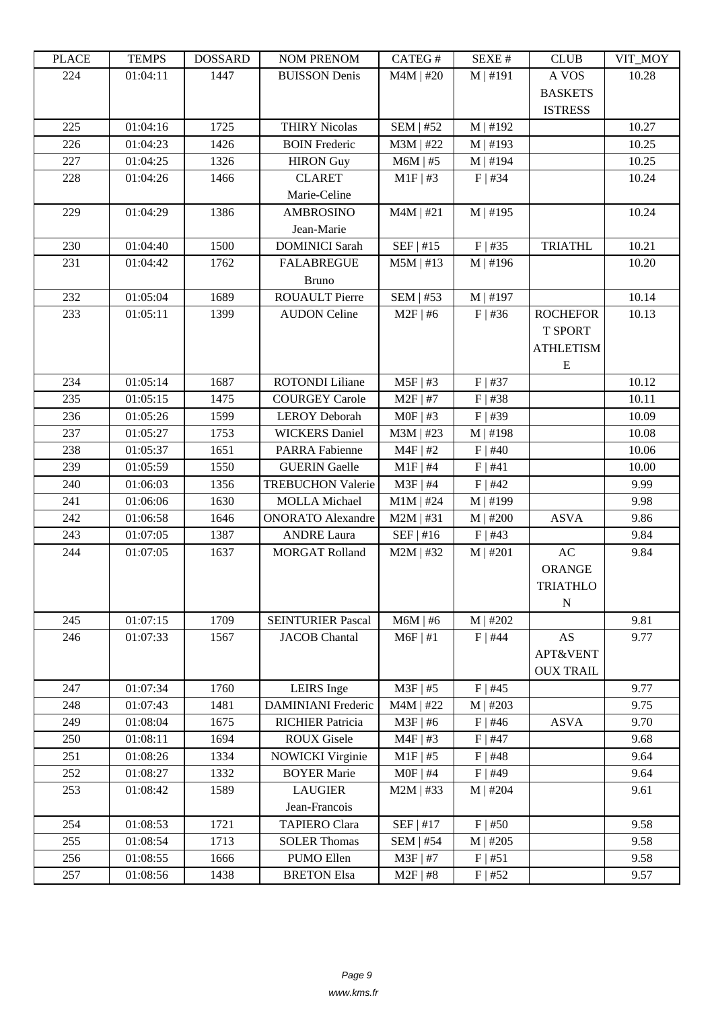| LLAUD | L LIVIII IJ | <b>UUUUUUU</b> | I'UM I KLIVUM             | <b>CATLOT</b>    | DL/AL π    | CLUD             | VII_MUI |
|-------|-------------|----------------|---------------------------|------------------|------------|------------------|---------|
| 224   | 01:04:11    | 1447           | <b>BUISSON Denis</b>      | $M4M$   #20      | M   #191   | A VOS            | 10.28   |
|       |             |                |                           |                  |            | <b>BASKETS</b>   |         |
|       |             |                |                           |                  |            | <b>ISTRESS</b>   |         |
| 225   | 01:04:16    | 1725           | <b>THIRY Nicolas</b>      | <b>SEM   #52</b> | $M$   #192 |                  | 10.27   |
| 226   | 01:04:23    | 1426           | <b>BOIN Frederic</b>      | $M3M$   #22      | $M$   #193 |                  | 10.25   |
| 227   | 01:04:25    | 1326           | <b>HIRON</b> Guy          | $M6M$   #5       | $M$   #194 |                  | 10.25   |
| 228   | 01:04:26    | 1466           | <b>CLARET</b>             | $M1F$   #3       | $F$   #34  |                  | 10.24   |
|       |             |                | Marie-Celine              |                  |            |                  |         |
| 229   | 01:04:29    | 1386           | <b>AMBROSINO</b>          | $M4M$   #21      | M   #195   |                  | 10.24   |
|       |             |                | Jean-Marie                |                  |            |                  |         |
| 230   | 01:04:40    | 1500           | <b>DOMINICI</b> Sarah     | SEF   #15        | $F$   #35  | <b>TRIATHL</b>   | 10.21   |
| 231   | 01:04:42    | 1762           | <b>FALABREGUE</b>         | $M5M$   #13      | $M$   #196 |                  | 10.20   |
|       |             |                | <b>Bruno</b>              |                  |            |                  |         |
| 232   | 01:05:04    | 1689           | <b>ROUAULT Pierre</b>     | <b>SEM   #53</b> | $M$   #197 |                  | 10.14   |
| 233   | 01:05:11    | 1399           | <b>AUDON Celine</b>       | $M2F$   #6       | $F$ #36    | <b>ROCHEFOR</b>  | 10.13   |
|       |             |                |                           |                  |            | <b>T SPORT</b>   |         |
|       |             |                |                           |                  |            | <b>ATHLETISM</b> |         |
|       |             |                |                           |                  |            | Ε                |         |
| 234   | 01:05:14    | 1687           | <b>ROTONDI Liliane</b>    | $M5F$   #3       | $F$   #37  |                  | 10.12   |
| 235   | 01:05:15    | 1475           | <b>COURGEY Carole</b>     | $M2F$   #7       | $F$   #38  |                  | 10.11   |
| 236   | 01:05:26    | 1599           | <b>LEROY Deborah</b>      | $MOF$   #3       | $F$   #39  |                  | 10.09   |
| 237   | 01:05:27    | 1753           | <b>WICKERS</b> Daniel     | $M3M$   #23      | $M$   #198 |                  | 10.08   |
| 238   | 01:05:37    | 1651           | <b>PARRA Fabienne</b>     | $M4F$   #2       | $F$   #40  |                  | 10.06   |
| 239   | 01:05:59    | 1550           | <b>GUERIN</b> Gaelle      | $M1F$   #4       | F   #41    |                  | 10.00   |
| 240   | 01:06:03    | 1356           | <b>TREBUCHON Valerie</b>  | $M3F$   #4       | $F$   #42  |                  | 9.99    |
| 241   | 01:06:06    | 1630           | <b>MOLLA</b> Michael      | $M1M$   #24      | $M$   #199 |                  | 9.98    |
| 242   | 01:06:58    | 1646           | <b>ONORATO Alexandre</b>  | $M2M$   #31      | M   #200   | <b>ASVA</b>      | 9.86    |
| 243   | 01:07:05    | 1387           | <b>ANDRE Laura</b>        | $SEF$   #16      | $F$   #43  |                  | 9.84    |
| 244   | 01:07:05    | 1637           | <b>MORGAT Rolland</b>     | $M2M$   #32      | $M$   #201 | AC               | 9.84    |
|       |             |                |                           |                  |            | <b>ORANGE</b>    |         |
|       |             |                |                           |                  |            | <b>TRIATHLO</b>  |         |
|       |             |                |                           |                  |            | $\mathbf N$      |         |
| 245   | 01:07:15    | 1709           | <b>SEINTURIER Pascal</b>  | $M6M$   #6       | M   #202   |                  | 9.81    |
| 246   | 01:07:33    | 1567           | <b>JACOB</b> Chantal      | $M6F$   #1       | $F$   #44  | AS               | 9.77    |
|       |             |                |                           |                  |            | APT&VENT         |         |
|       |             |                |                           |                  |            | <b>OUX TRAIL</b> |         |
| 247   | 01:07:34    | 1760           | LEIRS Inge                | $M3F$   #5       | $F$   #45  |                  | 9.77    |
| 248   | 01:07:43    | 1481           | <b>DAMINIANI</b> Frederic | $M4M$   #22      | M   #203   |                  | 9.75    |
| 249   | 01:08:04    | 1675           | <b>RICHIER Patricia</b>   | $M3F$   #6       | $F$   #46  | <b>ASVA</b>      | 9.70    |
| 250   | 01:08:11    | 1694           | <b>ROUX Gisele</b>        | $M4F$   #3       | $F$   #47  |                  | 9.68    |
| 251   | 01:08:26    | 1334           | <b>NOWICKI Virginie</b>   | $M1F$ #5         | $F$   #48  |                  | 9.64    |
| 252   | 01:08:27    | 1332           | <b>BOYER Marie</b>        | $MOF$   #4       | $F$   #49  |                  | 9.64    |
| 253   | 01:08:42    | 1589           | <b>LAUGIER</b>            | $M2M$   #33      | $M$   #204 |                  | 9.61    |
|       |             |                | Jean-Francois             |                  |            |                  |         |
| 254   | 01:08:53    | 1721           | <b>TAPIERO Clara</b>      | $SEF$   #17      | $F$   #50  |                  | 9.58    |
| 255   | 01:08:54    | 1713           | <b>SOLER Thomas</b>       | <b>SEM   #54</b> | $M$   #205 |                  | 9.58    |
| 256   | 01:08:55    | 1666           | PUMO Ellen                | $M3F$   #7       | F   #51    |                  | 9.58    |
| 257   | 01:08:56    | 1438           | <b>BRETON Elsa</b>        | $M2F$   #8       | $F$   #52  |                  | 9.57    |
|       |             |                |                           |                  |            |                  |         |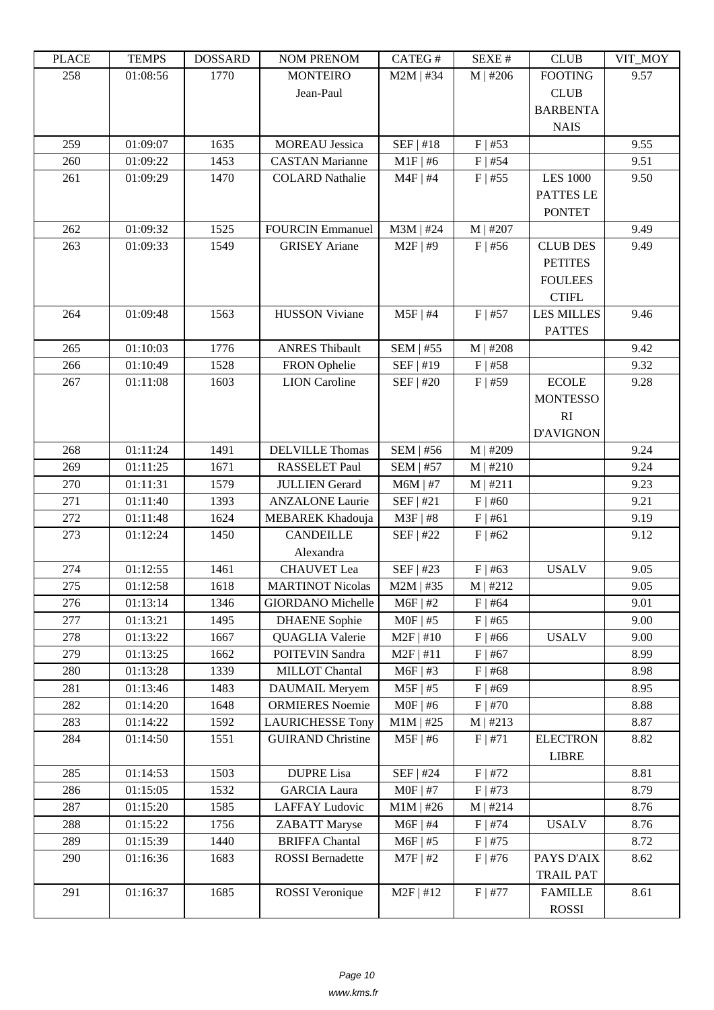| LEACE | <b>TERTI D</b>       | <b>UUUUUUU</b> | NUM TNENUM                       | CATEU T                       | DL/AL π                | CLUD              | VII_MUI      |
|-------|----------------------|----------------|----------------------------------|-------------------------------|------------------------|-------------------|--------------|
| 258   | 01:08:56             | 1770           | <b>MONTEIRO</b>                  | $M2M$   #34                   | $M$   #206             | <b>FOOTING</b>    | 9.57         |
|       |                      |                | Jean-Paul                        |                               |                        | <b>CLUB</b>       |              |
|       |                      |                |                                  |                               |                        | <b>BARBENTA</b>   |              |
|       |                      |                |                                  |                               |                        | <b>NAIS</b>       |              |
| 259   | 01:09:07             | 1635           | <b>MOREAU</b> Jessica            | SEF   #18                     | $F$   #53              |                   | 9.55         |
| 260   | 01:09:22             | 1453           | <b>CASTAN Marianne</b>           | $M1F$   #6                    | $F$   #54              |                   | 9.51         |
| 261   | 01:09:29             | 1470           | <b>COLARD Nathalie</b>           | $M4F$   #4                    | $F$   #55              | <b>LES 1000</b>   | 9.50         |
|       |                      |                |                                  |                               |                        | PATTES LE         |              |
|       |                      |                |                                  |                               |                        | <b>PONTET</b>     |              |
| 262   | 01:09:32             | 1525           | <b>FOURCIN Emmanuel</b>          | $M3M$   #24                   | $M$   #207             |                   | 9.49         |
| 263   | 01:09:33             | 1549           | <b>GRISEY</b> Ariane             | $M2F$   #9                    | $F$   #56              | <b>CLUB DES</b>   | 9.49         |
|       |                      |                |                                  |                               |                        | <b>PETITES</b>    |              |
|       |                      |                |                                  |                               |                        | <b>FOULEES</b>    |              |
|       |                      |                |                                  |                               |                        | <b>CTIFL</b>      |              |
| 264   | 01:09:48             | 1563           | <b>HUSSON Viviane</b>            | $M5F$   #4                    | $F$   #57              | <b>LES MILLES</b> | 9.46         |
|       |                      |                |                                  |                               |                        | <b>PATTES</b>     |              |
| 265   | 01:10:03             | 1776           | <b>ANRES Thibault</b>            | <b>SEM   #55</b>              | $M$   #208             |                   | 9.42         |
| 266   | 01:10:49             | 1528           | FRON Ophelie                     | SEF   #19                     | $F$   #58              |                   | 9.32         |
| 267   | 01:11:08             | 1603           | <b>LION</b> Caroline             | SEF   #20                     | $F$   #59              | ${\tt ECOLE}$     | 9.28         |
|       |                      |                |                                  |                               |                        | <b>MONTESSO</b>   |              |
|       |                      |                |                                  |                               |                        | RI                |              |
|       |                      |                |                                  |                               |                        |                   |              |
| 268   |                      |                |                                  |                               |                        | <b>D'AVIGNON</b>  |              |
| 269   | 01:11:24<br>01:11:25 | 1491<br>1671   | DELVILLE Thomas<br>RASSELET Paul | SEM   #56<br><b>SEM   #57</b> | $M$   #209<br>M   #210 |                   | 9.24<br>9.24 |
| 270   | 01:11:31             | 1579           | <b>JULLIEN</b> Gerard            | $M6M$   #7                    | M   #211               |                   | 9.23         |
| 271   | 01:11:40             | 1393           | <b>ANZALONE Laurie</b>           | SEF   #21                     | $F$   #60              |                   | 9.21         |
| 272   | 01:11:48             | 1624           | MEBAREK Khadouja                 | $M3F$   #8                    | F   #61                |                   | 9.19         |
| 273   |                      |                | <b>CANDEILLE</b>                 | SEF   #22                     | $F$   #62              |                   | 9.12         |
|       | 01:12:24             | 1450           | Alexandra                        |                               |                        |                   |              |
|       |                      |                |                                  |                               |                        |                   |              |
| 274   | 01:12:55             | 1461           | <b>CHAUVET</b> Lea               | SEF   #23                     | $F$   #63              | <b>USALV</b>      | 9.05         |
| 275   | 01:12:58             | 1618           | <b>MARTINOT Nicolas</b>          | $M2M$   #35                   | M   #212               |                   | 9.05         |
| 276   | 01:13:14             | 1346           | <b>GIORDANO</b> Michelle         | $M6F$   #2                    | $F$   #64              |                   | 9.01         |
| 277   | 01:13:21             | 1495           | <b>DHAENE</b> Sophie             | $MOF$   #5                    | $F$   #65              |                   | 9.00         |
| 278   | 01:13:22             | 1667           | QUAGLIA Valerie                  | $M2F$   #10                   | $F$ #66                | <b>USALV</b>      | 9.00         |
| 279   | 01:13:25             | 1662           | POITEVIN Sandra                  | $M2F$   #11                   | $F$   #67              |                   | 8.99         |
| 280   | 01:13:28             | 1339           | MILLOT Chantal                   | M6F   #3                      | $F$   #68              |                   | 8.98         |
| 281   | 01:13:46             | 1483           | DAUMAIL Meryem                   | $M5F$   #5                    | $F$ #69                |                   | 8.95         |
| 282   | 01:14:20             | 1648           | <b>ORMIERES</b> Noemie           | $MOF$   #6                    | $F$   #70              |                   | 8.88         |
| 283   | 01:14:22             | 1592           | <b>LAURICHESSE Tony</b>          | $M1M$   #25                   | M   #213               |                   | 8.87         |
| 284   | 01:14:50             | 1551           | <b>GUIRAND Christine</b>         | $M5F$   #6                    | F   #71                | <b>ELECTRON</b>   | 8.82         |
|       |                      |                |                                  |                               |                        | <b>LIBRE</b>      |              |
| 285   | 01:14:53             | 1503           | <b>DUPRE Lisa</b>                | SEF   #24                     | $F$   #72              |                   | 8.81         |
| 286   | 01:15:05             | 1532           | <b>GARCIA Laura</b>              | $MOF$   #7                    | $F$   #73              |                   | 8.79         |
| 287   | 01:15:20             | 1585           | <b>LAFFAY Ludovic</b>            | $M1M$   #26                   | M   #214               |                   | 8.76         |
| 288   | 01:15:22             | 1756           | <b>ZABATT</b> Maryse             | $M6F$   #4                    | $F$   #74              | <b>USALV</b>      | 8.76         |
| 289   | 01:15:39             | 1440           | <b>BRIFFA Chantal</b>            | $M6F$   #5                    | $F$   #75              |                   | 8.72         |
| 290   | 01:16:36             | 1683           | <b>ROSSI</b> Bernadette          | $M7F$   #2                    | $F$   #76              | PAYS D'AIX        | 8.62         |
|       |                      |                |                                  |                               |                        | <b>TRAIL PAT</b>  |              |
| 291   | 01:16:37             | 1685           | <b>ROSSI</b> Veronique           | $M2F$   #12                   | $F$   #77              | <b>FAMILLE</b>    | 8.61         |
|       |                      |                |                                  |                               |                        | <b>ROSSI</b>      |              |